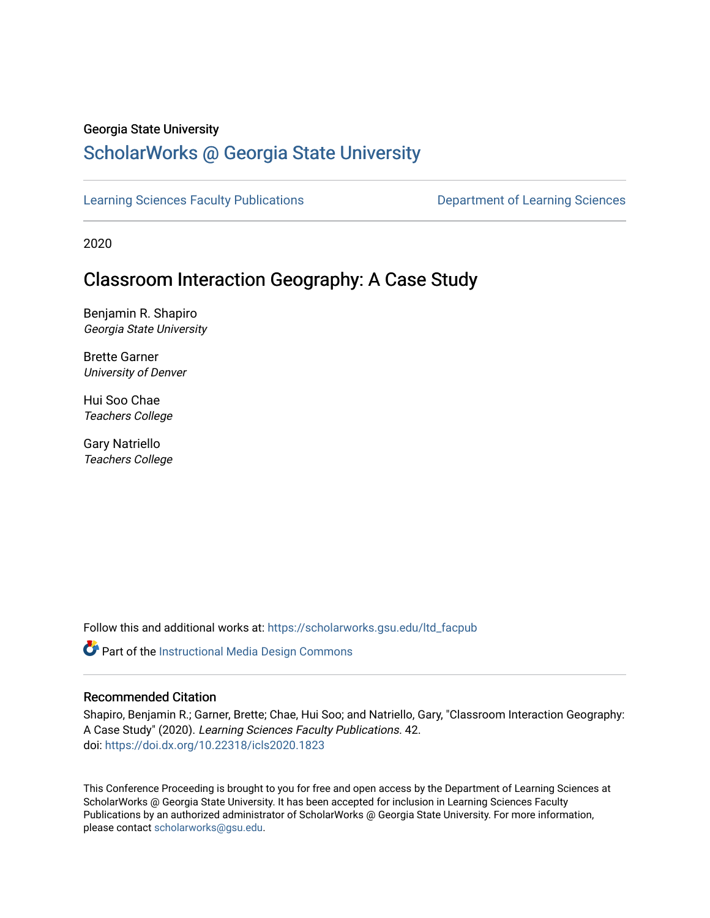#### Georgia State University

# [ScholarWorks @ Georgia State University](https://scholarworks.gsu.edu/)

[Learning Sciences Faculty Publications](https://scholarworks.gsu.edu/ltd_facpub) **Department of Learning Sciences** 

2020

# Classroom Interaction Geography: A Case Study

Benjamin R. Shapiro Georgia State University

Brette Garner University of Denver

Hui Soo Chae Teachers College

Gary Natriello Teachers College

Follow this and additional works at: [https://scholarworks.gsu.edu/ltd\\_facpub](https://scholarworks.gsu.edu/ltd_facpub?utm_source=scholarworks.gsu.edu%2Fltd_facpub%2F42&utm_medium=PDF&utm_campaign=PDFCoverPages) 

Part of the [Instructional Media Design Commons](https://network.bepress.com/hgg/discipline/795?utm_source=scholarworks.gsu.edu%2Fltd_facpub%2F42&utm_medium=PDF&utm_campaign=PDFCoverPages)

## Recommended Citation

Shapiro, Benjamin R.; Garner, Brette; Chae, Hui Soo; and Natriello, Gary, "Classroom Interaction Geography: A Case Study" (2020). Learning Sciences Faculty Publications. 42. doi: <https://doi.dx.org/10.22318/icls2020.1823>

This Conference Proceeding is brought to you for free and open access by the Department of Learning Sciences at ScholarWorks @ Georgia State University. It has been accepted for inclusion in Learning Sciences Faculty Publications by an authorized administrator of ScholarWorks @ Georgia State University. For more information, please contact [scholarworks@gsu.edu.](mailto:scholarworks@gsu.edu)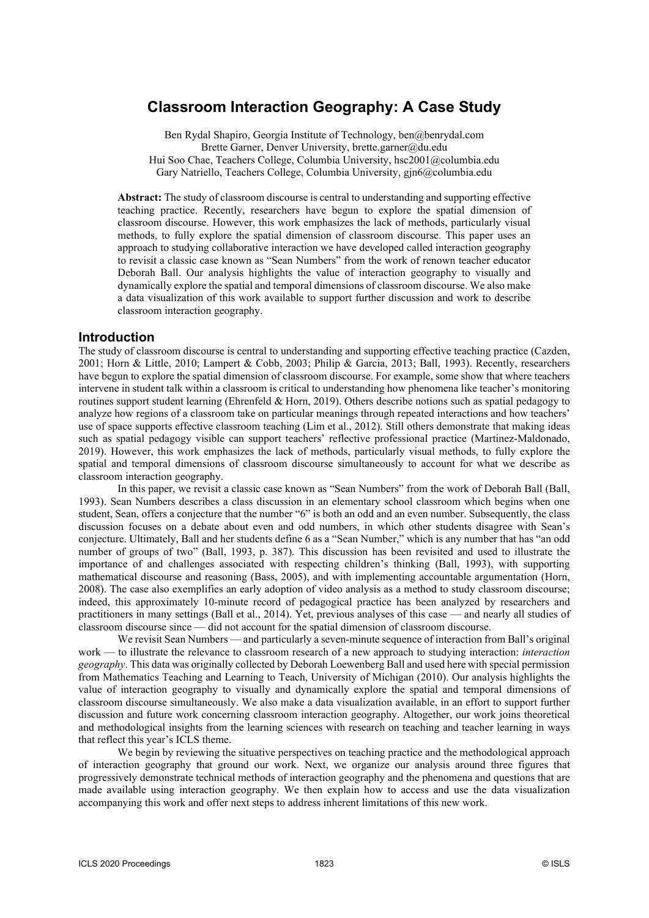## **Classroom Interaction Geography: A Case Study**

Ben Rydal Shapiro, Georgia Institute of Technology, ben@benrydal.com Brette Garner, Denver University, brette.garner@du.edu Hui Soo Chae, Teachers College, Columbia University, hsc2001@columbia.edu Gary Natriello, Teachers College, Columbia University, gjn6@columbia.edu

**Abstract:** The study of classroom discourse is central to understanding and supporting effective teaching practice. Recently, researchers have begun to explore the spatial dimension of classroom discourse. However, this work emphasizes the lack of methods, particularly visual methods, to fully explore the spatial dimension of classroom discourse. This paper uses an approach to studying collaborative interaction we have developed called interaction geography to revisit a classic case known as "Sean Numbers" from the work of renown teacher educator Deborah Ball. Our analysis highlights the value of interaction geography to visually and dynamically explore the spatial and temporal dimensions of classroom discourse. We also make a data visualization of this work available to support further discussion and work to describe classroom interaction geography.

#### **Introduction**

The study of classroom discourse is central to understanding and supporting effective teaching practice (Cazden, 2001; Horn & Little, 2010; Lampert & Cobb, 2003; Philip & Garcia, 2013; Ball, 1993). Recently, researchers have begun to explore the spatial dimension of classroom discourse. For example, some show that where teachers intervene in student talk within a classroom is critical to understanding how phenomena like teacher's monitoring routines support student learning (Ehrenfeld & Horn, 2019). Others describe notions such as spatial pedagogy to analyze how regions of a classroom take on particular meanings through repeated interactions and how teachers' use of space supports effective classroom teaching (Lim et al., 2012). Still others demonstrate that making ideas such as spatial pedagogy visible can support teachers' reflective professional practice (Martinez-Maldonado, 2019). However, this work emphasizes the lack of methods, particularly visual methods, to fully explore the spatial and temporal dimensions of classroom discourse simultaneously to account for what we describe as classroom interaction geography.

In this paper, we revisit a classic case known as "Sean Numbers" from the work of Deborah Ball (Ball, 1993). Sean Numbers describes a class discussion in an elementary school classroom which begins when one student, Sean, offers a conjecture that the number "6" is both an odd and an even number. Subsequently, the class discussion focuses on a debate about even and odd numbers, in which other students disagree with Sean's conjecture. Ultimately, Ball and her students define 6 as a "Sean Number," which is any number that has "an odd number of groups of two" (Ball, 1993, p. 387). This discussion has been revisited and used to illustrate the importance of and challenges associated with respecting children's thinking (Ball, 1993), with supporting mathematical discourse and reasoning (Bass, 2005), and with implementing accountable argumentation (Horn, 2008). The case also exemplifies an early adoption of video analysis as a method to study classroom discourse; indeed, this approximately 10-minute record of pedagogical practice has been analyzed by researchers and practitioners in many settings (Ball et al., 2014). Yet, previous analyses of this case — and nearly all studies of classroom discourse since — did not account for the spatial dimension of classroom discourse.

We revisit Sean Numbers — and particularly a seven-minute sequence of interaction from Ball's original work — to illustrate the relevance to classroom research of a new approach to studying interaction: *interaction geography*. This data was originally collected by Deborah Loewenberg Ball and used here with special permission from Mathematics Teaching and Learning to Teach, University of Michigan (2010). Our analysis highlights the value of interaction geography to visually and dynamically explore the spatial and temporal dimensions of classroom discourse simultaneously. We also make a data visualization available, in an effort to support further discussion and future work concerning classroom interaction geography. Altogether, our work joins theoretical and methodological insights from the learning sciences with research on teaching and teacher learning in ways that reflect this year's ICLS theme.

We begin by reviewing the situative perspectives on teaching practice and the methodological approach of interaction geography that ground our work. Next, we organize our analysis around three figures that progressively demonstrate technical methods of interaction geography and the phenomena and questions that are made available using interaction geography. We then explain how to access and use the data visualization accompanying this work and offer next steps to address inherent limitations of this new work.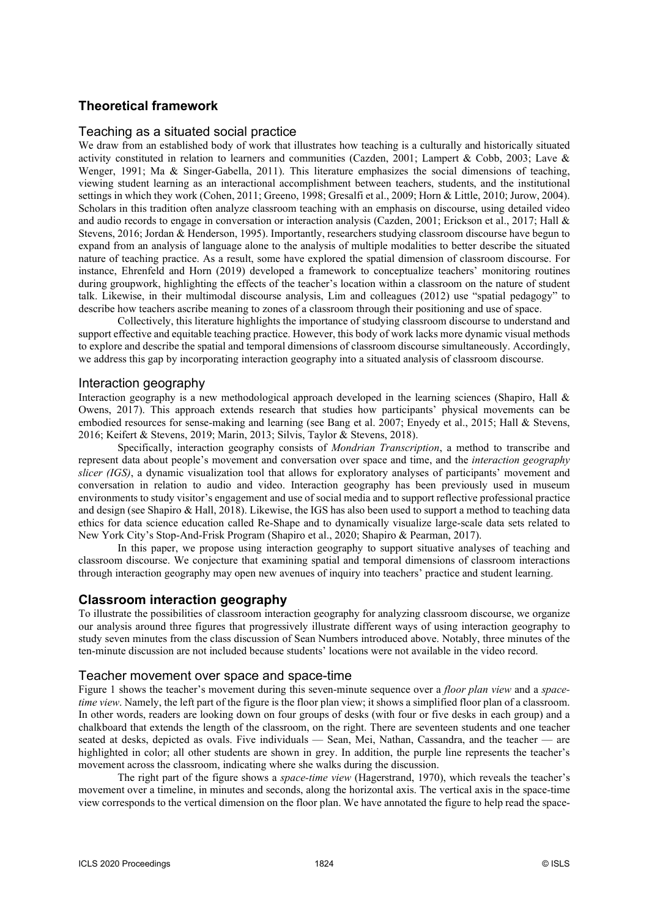### **Theoretical framework**

#### Teaching as a situated social practice

We draw from an established body of work that illustrates how teaching is a culturally and historically situated activity constituted in relation to learners and communities (Cazden, 2001; Lampert & Cobb, 2003; Lave & Wenger, 1991; Ma & Singer-Gabella, 2011). This literature emphasizes the social dimensions of teaching, viewing student learning as an interactional accomplishment between teachers, students, and the institutional settings in which they work (Cohen, 2011; Greeno, 1998; Gresalfi et al., 2009; Horn & Little, 2010; Jurow, 2004). Scholars in this tradition often analyze classroom teaching with an emphasis on discourse, using detailed video and audio records to engage in conversation or interaction analysis (Cazden, 2001; Erickson et al., 2017; Hall & Stevens, 2016; Jordan & Henderson, 1995). Importantly, researchers studying classroom discourse have begun to expand from an analysis of language alone to the analysis of multiple modalities to better describe the situated nature of teaching practice. As a result, some have explored the spatial dimension of classroom discourse. For instance, Ehrenfeld and Horn (2019) developed a framework to conceptualize teachers' monitoring routines during groupwork, highlighting the effects of the teacher's location within a classroom on the nature of student talk. Likewise, in their multimodal discourse analysis, Lim and colleagues (2012) use "spatial pedagogy" to describe how teachers ascribe meaning to zones of a classroom through their positioning and use of space.

Collectively, this literature highlights the importance of studying classroom discourse to understand and support effective and equitable teaching practice. However, this body of work lacks more dynamic visual methods to explore and describe the spatial and temporal dimensions of classroom discourse simultaneously. Accordingly, we address this gap by incorporating interaction geography into a situated analysis of classroom discourse.

#### Interaction geography

Interaction geography is a new methodological approach developed in the learning sciences (Shapiro, Hall & Owens, 2017). This approach extends research that studies how participants' physical movements can be embodied resources for sense-making and learning (see Bang et al. 2007; Enyedy et al., 2015; Hall & Stevens, 2016; Keifert & Stevens, 2019; Marin, 2013; Silvis, Taylor & Stevens, 2018).

Specifically, interaction geography consists of *Mondrian Transcription*, a method to transcribe and represent data about people's movement and conversation over space and time, and the *interaction geography slicer (IGS)*, a dynamic visualization tool that allows for exploratory analyses of participants' movement and conversation in relation to audio and video. Interaction geography has been previously used in museum environments to study visitor's engagement and use of social media and to support reflective professional practice and design (see Shapiro & Hall, 2018). Likewise, the IGS has also been used to support a method to teaching data ethics for data science education called Re-Shape and to dynamically visualize large-scale data sets related to New York City's Stop-And-Frisk Program (Shapiro et al., 2020; Shapiro & Pearman, 2017).

In this paper, we propose using interaction geography to support situative analyses of teaching and classroom discourse. We conjecture that examining spatial and temporal dimensions of classroom interactions through interaction geography may open new avenues of inquiry into teachers' practice and student learning.

#### **Classroom interaction geography**

To illustrate the possibilities of classroom interaction geography for analyzing classroom discourse, we organize our analysis around three figures that progressively illustrate different ways of using interaction geography to study seven minutes from the class discussion of Sean Numbers introduced above. Notably, three minutes of the ten-minute discussion are not included because students' locations were not available in the video record.

#### Teacher movement over space and space-time

Figure 1 shows the teacher's movement during this seven-minute sequence over a *floor plan view* and a *spacetime view*. Namely, the left part of the figure is the floor plan view; it shows a simplified floor plan of a classroom. In other words, readers are looking down on four groups of desks (with four or five desks in each group) and a chalkboard that extends the length of the classroom, on the right. There are seventeen students and one teacher seated at desks, depicted as ovals. Five individuals — Sean, Mei, Nathan, Cassandra, and the teacher — are highlighted in color; all other students are shown in grey. In addition, the purple line represents the teacher's movement across the classroom, indicating where she walks during the discussion.

The right part of the figure shows a *space-time view* (Hagerstrand, 1970), which reveals the teacher's movement over a timeline, in minutes and seconds, along the horizontal axis. The vertical axis in the space-time view corresponds to the vertical dimension on the floor plan. We have annotated the figure to help read the space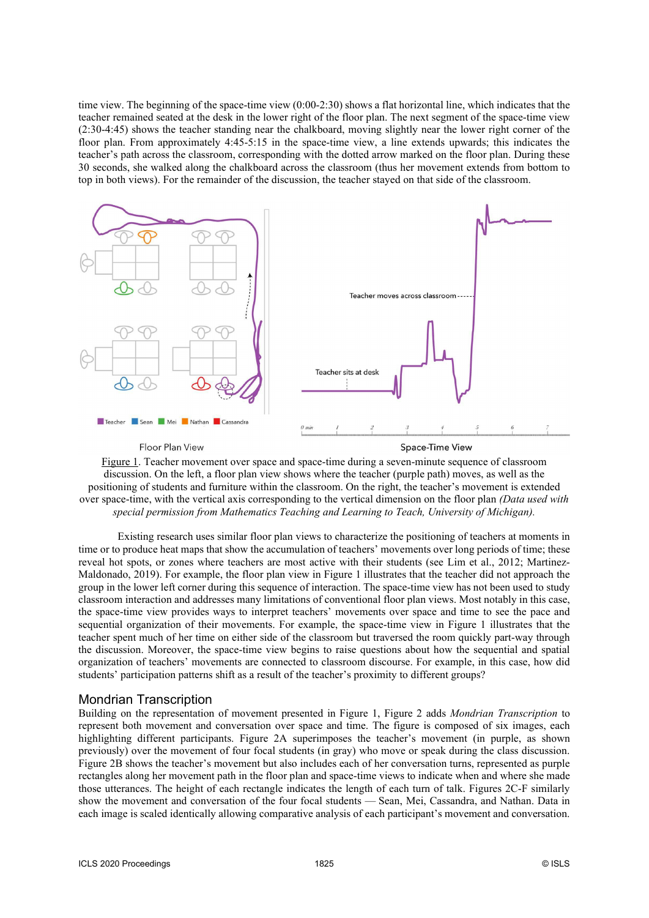time view. The beginning of the space-time view (0:00-2:30) shows a flat horizontal line, which indicates that the teacher remained seated at the desk in the lower right of the floor plan. The next segment of the space-time view (2:30-4:45) shows the teacher standing near the chalkboard, moving slightly near the lower right corner of the floor plan. From approximately 4:45-5:15 in the space-time view, a line extends upwards; this indicates the teacher's path across the classroom, corresponding with the dotted arrow marked on the floor plan. During these 30 seconds, she walked along the chalkboard across the classroom (thus her movement extends from bottom to top in both views). For the remainder of the discussion, the teacher stayed on that side of the classroom.



Figure 1. Teacher movement over space and space-time during a seven-minute sequence of classroom discussion. On the left, a floor plan view shows where the teacher (purple path) moves, as well as the positioning of students and furniture within the classroom. On the right, the teacher's movement is extended over space-time, with the vertical axis corresponding to the vertical dimension on the floor plan *(Data used with special permission from Mathematics Teaching and Learning to Teach, University of Michigan).* 

Existing research uses similar floor plan views to characterize the positioning of teachers at moments in time or to produce heat maps that show the accumulation of teachers' movements over long periods of time; these reveal hot spots, or zones where teachers are most active with their students (see Lim et al., 2012; Martinez-Maldonado, 2019). For example, the floor plan view in Figure 1 illustrates that the teacher did not approach the group in the lower left corner during this sequence of interaction. The space-time view has not been used to study classroom interaction and addresses many limitations of conventional floor plan views. Most notably in this case, the space-time view provides ways to interpret teachers' movements over space and time to see the pace and sequential organization of their movements. For example, the space-time view in Figure 1 illustrates that the teacher spent much of her time on either side of the classroom but traversed the room quickly part-way through the discussion. Moreover, the space-time view begins to raise questions about how the sequential and spatial organization of teachers' movements are connected to classroom discourse. For example, in this case, how did students' participation patterns shift as a result of the teacher's proximity to different groups?

#### Mondrian Transcription

Building on the representation of movement presented in Figure 1, Figure 2 adds *Mondrian Transcription* to represent both movement and conversation over space and time. The figure is composed of six images, each highlighting different participants. Figure 2A superimposes the teacher's movement (in purple, as shown previously) over the movement of four focal students (in gray) who move or speak during the class discussion. Figure 2B shows the teacher's movement but also includes each of her conversation turns, represented as purple rectangles along her movement path in the floor plan and space-time views to indicate when and where she made those utterances. The height of each rectangle indicates the length of each turn of talk. Figures 2C-F similarly show the movement and conversation of the four focal students — Sean, Mei, Cassandra, and Nathan. Data in each image is scaled identically allowing comparative analysis of each participant's movement and conversation.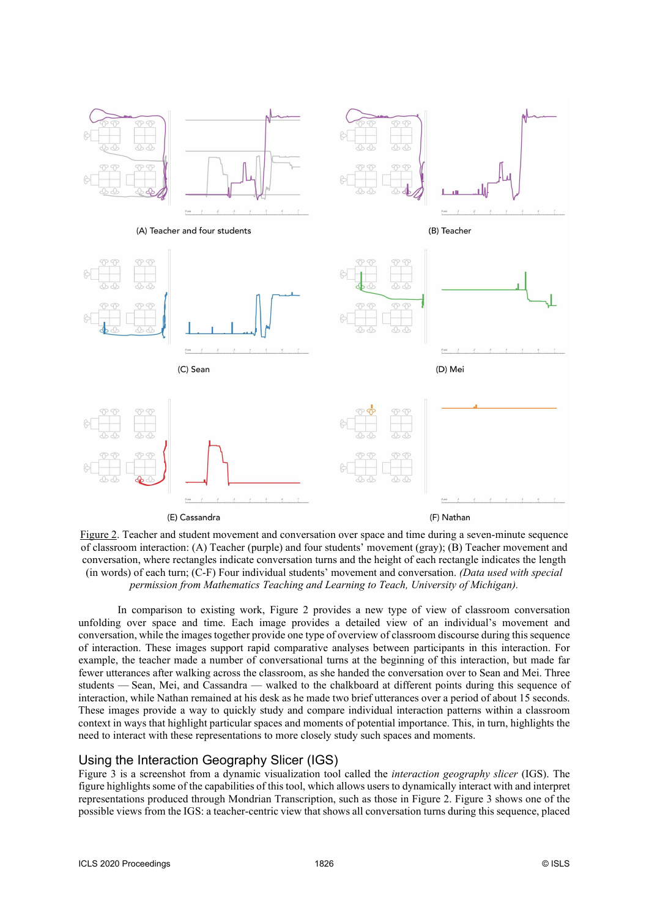

Figure 2. Teacher and student movement and conversation over space and time during a seven-minute sequence of classroom interaction: (A) Teacher (purple) and four students' movement (gray); (B) Teacher movement and conversation, where rectangles indicate conversation turns and the height of each rectangle indicates the length (in words) of each turn; (C-F) Four individual students' movement and conversation. *(Data used with special permission from Mathematics Teaching and Learning to Teach, University of Michigan).* 

In comparison to existing work, Figure 2 provides a new type of view of classroom conversation unfolding over space and time. Each image provides a detailed view of an individual's movement and conversation, while the images together provide one type of overview of classroom discourse during this sequence of interaction. These images support rapid comparative analyses between participants in this interaction. For example, the teacher made a number of conversational turns at the beginning of this interaction, but made far fewer utterances after walking across the classroom, as she handed the conversation over to Sean and Mei. Three students — Sean, Mei, and Cassandra — walked to the chalkboard at different points during this sequence of interaction, while Nathan remained at his desk as he made two brief utterances over a period of about 15 seconds. These images provide a way to quickly study and compare individual interaction patterns within a classroom context in ways that highlight particular spaces and moments of potential importance. This, in turn, highlights the need to interact with these representations to more closely study such spaces and moments.

#### Using the Interaction Geography Slicer (IGS)

Figure 3 is a screenshot from a dynamic visualization tool called the *interaction geography slicer* (IGS). The figure highlights some of the capabilities of this tool, which allows users to dynamically interact with and interpret representations produced through Mondrian Transcription, such as those in Figure 2. Figure 3 shows one of the possible views from the IGS: a teacher-centric view that shows all conversation turns during this sequence, placed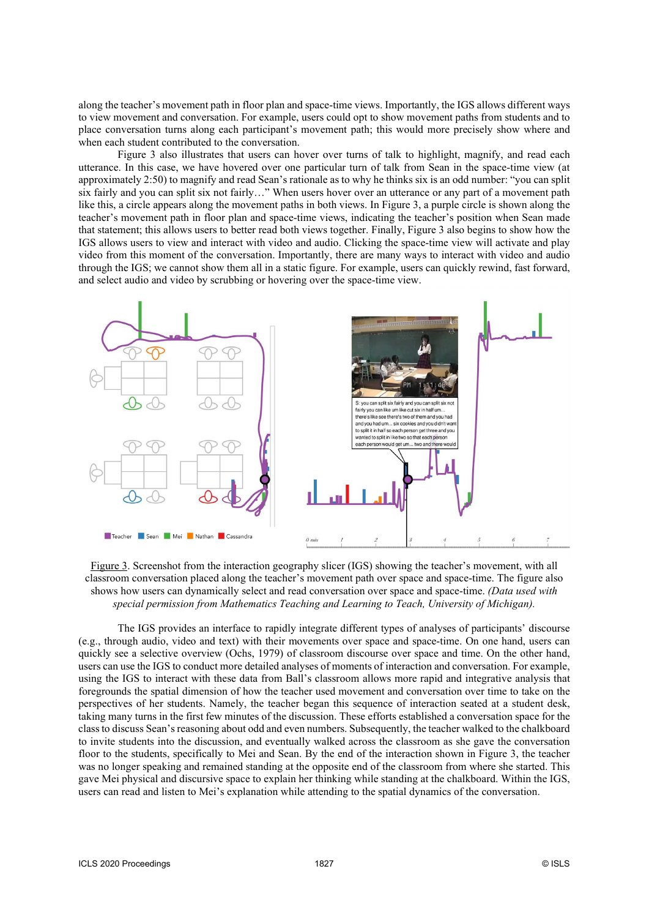along the teacher's movement path in floor plan and space-time views. Importantly, the IGS allows different ways to view movement and conversation. For example, users could opt to show movement paths from students and to place conversation turns along each participant's movement path; this would more precisely show where and when each student contributed to the conversation.

Figure 3 also illustrates that users can hover over turns of talk to highlight, magnify, and read each utterance. In this case, we have hovered over one particular turn of talk from Sean in the space-time view (at approximately 2:50) to magnify and read Sean's rationale as to why he thinks six is an odd number: "you can split six fairly and you can split six not fairly…" When users hover over an utterance or any part of a movement path like this, a circle appears along the movement paths in both views. In Figure 3, a purple circle is shown along the teacher's movement path in floor plan and space-time views, indicating the teacher's position when Sean made that statement; this allows users to better read both views together. Finally, Figure 3 also begins to show how the IGS allows users to view and interact with video and audio. Clicking the space-time view will activate and play video from this moment of the conversation. Importantly, there are many ways to interact with video and audio through the IGS; we cannot show them all in a static figure. For example, users can quickly rewind, fast forward, and select audio and video by scrubbing or hovering over the space-time view.



Figure 3. Screenshot from the interaction geography slicer (IGS) showing the teacher's movement, with all classroom conversation placed along the teacher's movement path over space and space-time. The figure also shows how users can dynamically select and read conversation over space and space-time. *(Data used with special permission from Mathematics Teaching and Learning to Teach, University of Michigan).*

The IGS provides an interface to rapidly integrate different types of analyses of participants' discourse (e.g., through audio, video and text) with their movements over space and space-time. On one hand, users can quickly see a selective overview (Ochs, 1979) of classroom discourse over space and time. On the other hand, users can use the IGS to conduct more detailed analyses of moments of interaction and conversation. For example, using the IGS to interact with these data from Ball's classroom allows more rapid and integrative analysis that foregrounds the spatial dimension of how the teacher used movement and conversation over time to take on the perspectives of her students. Namely, the teacher began this sequence of interaction seated at a student desk, taking many turns in the first few minutes of the discussion. These efforts established a conversation space for the class to discuss Sean's reasoning about odd and even numbers. Subsequently, the teacher walked to the chalkboard to invite students into the discussion, and eventually walked across the classroom as she gave the conversation floor to the students, specifically to Mei and Sean. By the end of the interaction shown in Figure 3, the teacher was no longer speaking and remained standing at the opposite end of the classroom from where she started. This gave Mei physical and discursive space to explain her thinking while standing at the chalkboard. Within the IGS, users can read and listen to Mei's explanation while attending to the spatial dynamics of the conversation.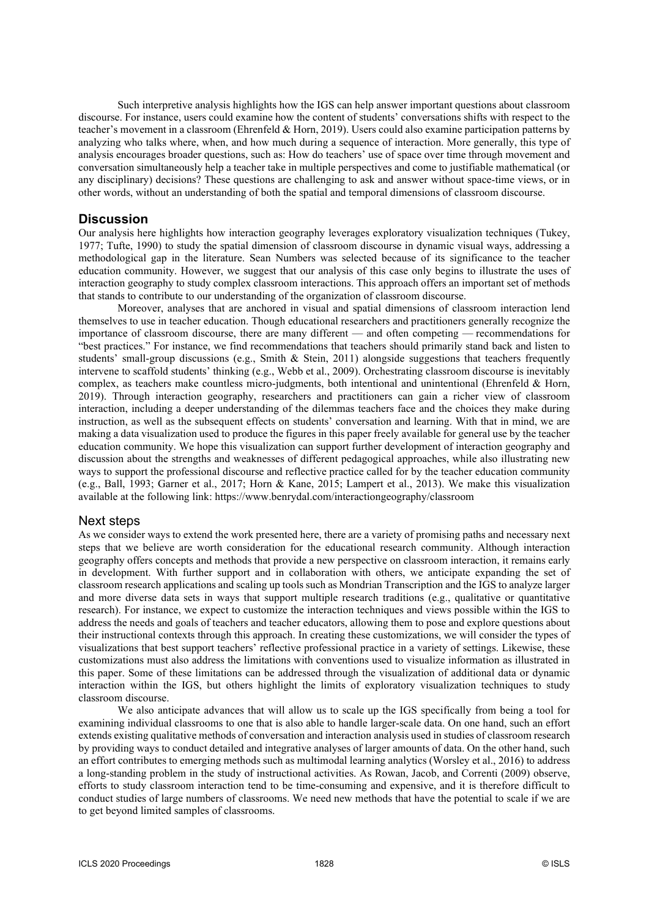Such interpretive analysis highlights how the IGS can help answer important questions about classroom discourse. For instance, users could examine how the content of students' conversations shifts with respect to the teacher's movement in a classroom (Ehrenfeld & Horn, 2019). Users could also examine participation patterns by analyzing who talks where, when, and how much during a sequence of interaction. More generally, this type of analysis encourages broader questions, such as: How do teachers' use of space over time through movement and conversation simultaneously help a teacher take in multiple perspectives and come to justifiable mathematical (or any disciplinary) decisions? These questions are challenging to ask and answer without space-time views, or in other words, without an understanding of both the spatial and temporal dimensions of classroom discourse.

#### **Discussion**

Our analysis here highlights how interaction geography leverages exploratory visualization techniques (Tukey, 1977; Tufte, 1990) to study the spatial dimension of classroom discourse in dynamic visual ways, addressing a methodological gap in the literature. Sean Numbers was selected because of its significance to the teacher education community. However, we suggest that our analysis of this case only begins to illustrate the uses of interaction geography to study complex classroom interactions. This approach offers an important set of methods that stands to contribute to our understanding of the organization of classroom discourse.

Moreover, analyses that are anchored in visual and spatial dimensions of classroom interaction lend themselves to use in teacher education. Though educational researchers and practitioners generally recognize the importance of classroom discourse, there are many different — and often competing — recommendations for "best practices." For instance, we find recommendations that teachers should primarily stand back and listen to students' small-group discussions (e.g., Smith & Stein, 2011) alongside suggestions that teachers frequently intervene to scaffold students' thinking (e.g., Webb et al., 2009). Orchestrating classroom discourse is inevitably complex, as teachers make countless micro-judgments, both intentional and unintentional (Ehrenfeld & Horn, 2019). Through interaction geography, researchers and practitioners can gain a richer view of classroom interaction, including a deeper understanding of the dilemmas teachers face and the choices they make during instruction, as well as the subsequent effects on students' conversation and learning. With that in mind, we are making a data visualization used to produce the figures in this paper freely available for general use by the teacher education community. We hope this visualization can support further development of interaction geography and discussion about the strengths and weaknesses of different pedagogical approaches, while also illustrating new ways to support the professional discourse and reflective practice called for by the teacher education community (e.g., Ball, 1993; Garner et al., 2017; Horn & Kane, 2015; Lampert et al., 2013). We make this visualization available at the following link: https://www.benrydal.com/interactiongeography/classroom

#### Next steps

As we consider ways to extend the work presented here, there are a variety of promising paths and necessary next steps that we believe are worth consideration for the educational research community. Although interaction geography offers concepts and methods that provide a new perspective on classroom interaction, it remains early in development. With further support and in collaboration with others, we anticipate expanding the set of classroom research applications and scaling up tools such as Mondrian Transcription and the IGS to analyze larger and more diverse data sets in ways that support multiple research traditions (e.g., qualitative or quantitative research). For instance, we expect to customize the interaction techniques and views possible within the IGS to address the needs and goals of teachers and teacher educators, allowing them to pose and explore questions about their instructional contexts through this approach. In creating these customizations, we will consider the types of visualizations that best support teachers' reflective professional practice in a variety of settings. Likewise, these customizations must also address the limitations with conventions used to visualize information as illustrated in this paper. Some of these limitations can be addressed through the visualization of additional data or dynamic interaction within the IGS, but others highlight the limits of exploratory visualization techniques to study classroom discourse.

We also anticipate advances that will allow us to scale up the IGS specifically from being a tool for examining individual classrooms to one that is also able to handle larger-scale data. On one hand, such an effort extends existing qualitative methods of conversation and interaction analysis used in studies of classroom research by providing ways to conduct detailed and integrative analyses of larger amounts of data. On the other hand, such an effort contributes to emerging methods such as multimodal learning analytics (Worsley et al., 2016) to address a long-standing problem in the study of instructional activities. As Rowan, Jacob, and Correnti (2009) observe, efforts to study classroom interaction tend to be time-consuming and expensive, and it is therefore difficult to conduct studies of large numbers of classrooms. We need new methods that have the potential to scale if we are to get beyond limited samples of classrooms.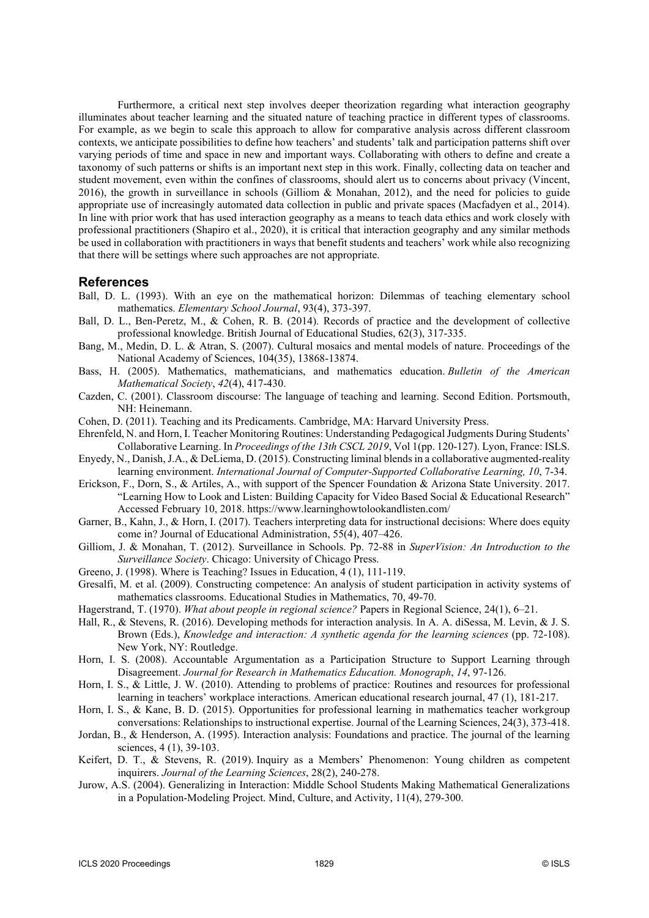Furthermore, a critical next step involves deeper theorization regarding what interaction geography illuminates about teacher learning and the situated nature of teaching practice in different types of classrooms. For example, as we begin to scale this approach to allow for comparative analysis across different classroom contexts, we anticipate possibilities to define how teachers' and students' talk and participation patterns shift over varying periods of time and space in new and important ways. Collaborating with others to define and create a taxonomy of such patterns or shifts is an important next step in this work. Finally, collecting data on teacher and student movement, even within the confines of classrooms, should alert us to concerns about privacy (Vincent, 2016), the growth in surveillance in schools (Gilliom & Monahan, 2012), and the need for policies to guide appropriate use of increasingly automated data collection in public and private spaces (Macfadyen et al., 2014). In line with prior work that has used interaction geography as a means to teach data ethics and work closely with professional practitioners (Shapiro et al., 2020), it is critical that interaction geography and any similar methods be used in collaboration with practitioners in ways that benefit students and teachers' work while also recognizing that there will be settings where such approaches are not appropriate.

#### **References**

- Ball, D. L. (1993). With an eye on the mathematical horizon: Dilemmas of teaching elementary school mathematics. *Elementary School Journal*, 93(4), 373-397.
- Ball, D. L., Ben-Peretz, M., & Cohen, R. B. (2014). Records of practice and the development of collective professional knowledge. British Journal of Educational Studies, 62(3), 317-335.
- Bang, M., Medin, D. L. & Atran, S. (2007). Cultural mosaics and mental models of nature. Proceedings of the National Academy of Sciences, 104(35), 13868-13874.
- Bass, H. (2005). Mathematics, mathematicians, and mathematics education. *Bulletin of the American Mathematical Society*, *42*(4), 417-430.
- Cazden, C. (2001). Classroom discourse: The language of teaching and learning. Second Edition. Portsmouth, NH: Heinemann.
- Cohen, D. (2011). Teaching and its Predicaments. Cambridge, MA: Harvard University Press.
- Ehrenfeld, N. and Horn, I. Teacher Monitoring Routines: Understanding Pedagogical Judgments During Students' Collaborative Learning. In *Proceedings of the 13th CSCL 2019*, Vol 1(pp. 120-127). Lyon, France: ISLS.
- Enyedy, N., Danish, J.A., & DeLiema, D. (2015). Constructing liminal blends in a collaborative augmented-reality learning environment. *International Journal of Computer-Supported Collaborative Learning, 10*, 7-34.
- Erickson, F., Dorn, S., & Artiles, A., with support of the Spencer Foundation & Arizona State University. 2017. "Learning How to Look and Listen: Building Capacity for Video Based Social & Educational Research" Accessed February 10, 2018. https://www.learninghowtolookandlisten.com/
- Garner, B., Kahn, J., & Horn, I. (2017). Teachers interpreting data for instructional decisions: Where does equity come in? Journal of Educational Administration, 55(4), 407–426.
- Gilliom, J. & Monahan, T. (2012). Surveillance in Schools. Pp. 72-88 in *SuperVision: An Introduction to the Surveillance Society*. Chicago: University of Chicago Press.
- Greeno, J. (1998). Where is Teaching? Issues in Education, 4 (1), 111-119.
- Gresalfi, M. et al. (2009). Constructing competence: An analysis of student participation in activity systems of mathematics classrooms. Educational Studies in Mathematics, 70, 49-70.
- Hagerstrand, T. (1970). *What about people in regional science?* Papers in Regional Science, 24(1), 6–21.
- Hall, R., & Stevens, R. (2016). Developing methods for interaction analysis. In A. A. diSessa, M. Levin, & J. S. Brown (Eds.), *Knowledge and interaction: A synthetic agenda for the learning sciences* (pp. 72-108). New York, NY: Routledge.
- Horn, I. S. (2008). Accountable Argumentation as a Participation Structure to Support Learning through Disagreement. *Journal for Research in Mathematics Education. Monograph*, *14*, 97-126.
- Horn, I. S., & Little, J. W. (2010). Attending to problems of practice: Routines and resources for professional learning in teachers' workplace interactions. American educational research journal, 47 (1), 181-217.
- Horn, I. S., & Kane, B. D. (2015). Opportunities for professional learning in mathematics teacher workgroup conversations: Relationships to instructional expertise. Journal of the Learning Sciences, 24(3), 373-418.
- Jordan, B., & Henderson, A. (1995). Interaction analysis: Foundations and practice. The journal of the learning sciences, 4 (1), 39-103.
- Keifert, D. T., & Stevens, R. (2019). Inquiry as a Members' Phenomenon: Young children as competent inquirers. *Journal of the Learning Sciences*, 28(2), 240-278.
- Jurow, A.S. (2004). Generalizing in Interaction: Middle School Students Making Mathematical Generalizations in a Population-Modeling Project. Mind, Culture, and Activity, 11(4), 279-300.